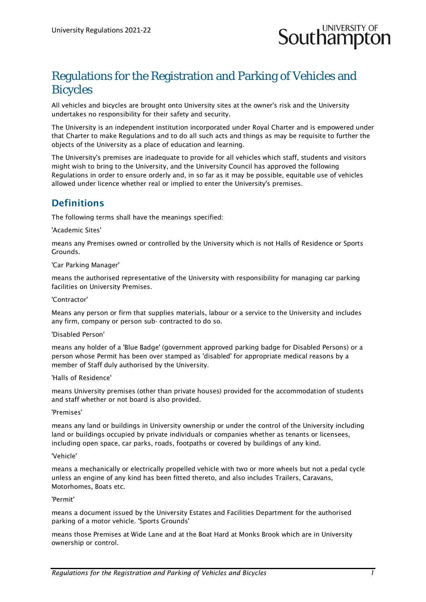

## Regulations for the Registration and Parking of Vehicles and Bicycles

All vehicles and bicycles are brought onto University sites at the owner's risk and the University undertakes no responsibility for their safety and security.

The University is an independent institution incorporated under Royal Charter and is empowered under that Charter to make Regulations and to do all such acts and things as may be requisite to further the objects of the University as a place of education and learning.

The University's premises are inadequate to provide for all vehicles which staff, students and visitors might wish to bring to the University, and the University Council has approved the following Regulations in order to ensure orderly and, in so far as it may be possible, equitable use of vehicles allowed under licence whether real or implied to enter the University's premises.

### **Definitions**

The following terms shall have the meanings specified:

#### 'Academic Sites'

means any Premises owned or controlled by the University which is not Halls of Residence or Sports Grounds.

#### 'Car Parking Manager'

means the authorised representative of the University with responsibility for managing car parking facilities on University Premises.

#### 'Contractor'

Means any person or firm that supplies materials, labour or a service to the University and includes any firm, company or person sub- contracted to do so.

#### 'Disabled Person'

means any holder of a 'Blue Badge' (government approved parking badge for Disabled Persons) or a person whose Permit has been over stamped as 'disabled' for appropriate medical reasons by a member of Staff duly authorised by the University.

#### 'Halls of Residence'

means University premises (other than private houses) provided for the accommodation of students and staff whether or not board is also provided.

#### 'Premises'

means any land or buildings in University ownership or under the control of the University including land or buildings occupied by private individuals or companies whether as tenants or licensees, including open space, car parks, roads, footpaths or covered by buildings of any kind.

#### 'Vehicle'

means a mechanically or electrically propelled vehicle with two or more wheels but not a pedal cycle unless an engine of any kind has been fitted thereto, and also includes Trailers, Caravans, Motorhomes, Boats etc.

#### 'Permit'

means a document issued by the University Estates and Facilities Department for the authorised parking of a motor vehicle. 'Sports Grounds'

means those Premises at Wide Lane and at the Boat Hard at Monks Brook which are in University ownership or control.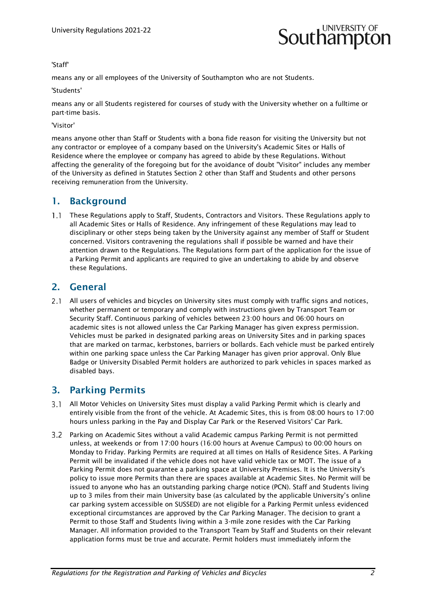

#### 'Staff'

means any or all employees of the University of Southampton who are not Students.

#### 'Students'

means any or all Students registered for courses of study with the University whether on a fulltime or part-time basis.

'Visitor'

means anyone other than Staff or Students with a bona fide reason for visiting the University but not any contractor or employee of a company based on the University's Academic Sites or Halls of Residence where the employee or company has agreed to abide by these Regulations. Without affecting the generality of the foregoing but for the avoidance of doubt "Visitor" includes any member of the University as defined in Statutes Section 2 other than Staff and Students and other persons receiving remuneration from the University.

#### 1. Background

1.1 These Regulations apply to Staff, Students, Contractors and Visitors. These Regulations apply to all Academic Sites or Halls of Residence. Any infringement of these Regulations may lead to disciplinary or other steps being taken by the University against any member of Staff or Student concerned. Visitors contravening the regulations shall if possible be warned and have their attention drawn to the Regulations. The Regulations form part of the application for the issue of a Parking Permit and applicants are required to give an undertaking to abide by and observe these Regulations.

#### 2. General

2.1 All users of vehicles and bicycles on University sites must comply with traffic signs and notices, whether permanent or temporary and comply with instructions given by Transport Team or Security Staff. Continuous parking of vehicles between 23:00 hours and 06:00 hours on academic sites is not allowed unless the Car Parking Manager has given express permission. Vehicles must be parked in designated parking areas on University Sites and in parking spaces that are marked on tarmac, kerbstones, barriers or bollards. Each vehicle must be parked entirely within one parking space unless the Car Parking Manager has given prior approval. Only Blue Badge or University Disabled Permit holders are authorized to park vehicles in spaces marked as disabled bays.

#### 3. Parking Permits

- 3.1 All Motor Vehicles on University Sites must display a valid Parking Permit which is clearly and entirely visible from the front of the vehicle. At Academic Sites, this is from 08:00 hours to 17:00 hours unless parking in the Pay and Display Car Park or the Reserved Visitors' Car Park.
- Parking on Academic Sites without a valid Academic campus Parking Permit is not permitted unless, at weekends or from 17:00 hours (16:00 hours at Avenue Campus) to 00:00 hours on Monday to Friday. Parking Permits are required at all times on Halls of Residence Sites. A Parking Permit will be invalidated if the vehicle does not have valid vehicle tax or MOT. The issue of a Parking Permit does not guarantee a parking space at University Premises. It is the University's policy to issue more Permits than there are spaces available at Academic Sites. No Permit will be issued to anyone who has an outstanding parking charge notice (PCN). Staff and Students living up to 3 miles from their main University base (as calculated by the applicable University's online car parking system accessible on SUSSED) are not eligible for a Parking Permit unless evidenced exceptional circumstances are approved by the Car Parking Manager. The decision to grant a Permit to those Staff and Students living within a 3-mile zone resides with the Car Parking Manager. All information provided to the Transport Team by Staff and Students on their relevant application forms must be true and accurate. Permit holders must immediately inform the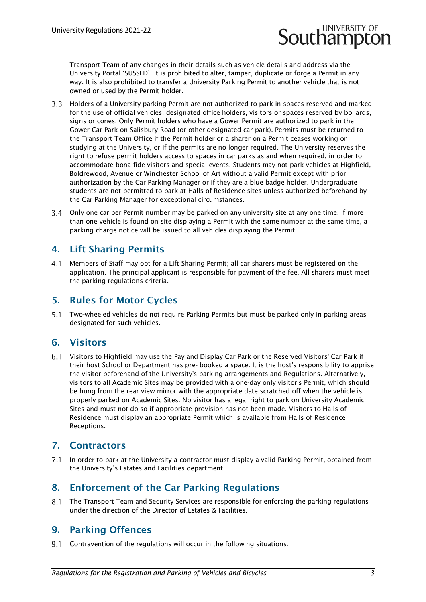# **Southampto**

Transport Team of any changes in their details such as vehicle details and address via the University Portal 'SUSSED'. It is prohibited to alter, tamper, duplicate or forge a Permit in any way. It is also prohibited to transfer a University Parking Permit to another vehicle that is not owned or used by the Permit holder.

- 3.3 Holders of a University parking Permit are not authorized to park in spaces reserved and marked for the use of official vehicles, designated office holders, visitors or spaces reserved by bollards, signs or cones. Only Permit holders who have a Gower Permit are authorized to park in the Gower Car Park on Salisbury Road (or other designated car park). Permits must be returned to the Transport Team Office if the Permit holder or a sharer on a Permit ceases working or studying at the University, or if the permits are no longer required. The University reserves the right to refuse permit holders access to spaces in car parks as and when required, in order to accommodate bona fide visitors and special events. Students may not park vehicles at Highfield, Boldrewood, Avenue or Winchester School of Art without a valid Permit except with prior authorization by the Car Parking Manager or if they are a blue badge holder. Undergraduate students are not permitted to park at Halls of Residence sites unless authorized beforehand by the Car Parking Manager for exceptional circumstances.
- Only one car per Permit number may be parked on any university site at any one time. If more than one vehicle is found on site displaying a Permit with the same number at the same time, a parking charge notice will be issued to all vehicles displaying the Permit.

## 4. Lift Sharing Permits

Members of Staff may opt for a Lift Sharing Permit; all car sharers must be registered on the application. The principal applicant is responsible for payment of the fee. All sharers must meet the parking regulations criteria.

## 5. Rules for Motor Cycles

Two-wheeled vehicles do not require Parking Permits but must be parked only in parking areas designated for such vehicles.

## 6. Visitors

Visitors to Highfield may use the Pay and Display Car Park or the Reserved Visitors' Car Park if their host School or Department has pre- booked a space. It is the host's responsibility to apprise the visitor beforehand of the University's parking arrangements and Regulations. Alternatively, visitors to all Academic Sites may be provided with a one-day only visitor's Permit, which should be hung from the rear view mirror with the appropriate date scratched off when the vehicle is properly parked on Academic Sites. No visitor has a legal right to park on University Academic Sites and must not do so if appropriate provision has not been made. Visitors to Halls of Residence must display an appropriate Permit which is available from Halls of Residence Receptions.

## 7. Contractors

In order to park at the University a contractor must display a valid Parking Permit, obtained from the University's Estates and Facilities department.

## 8. Enforcement of the Car Parking Regulations

8.1 The Transport Team and Security Services are responsible for enforcing the parking regulations under the direction of the Director of Estates & Facilities.

## 9. Parking Offences

9.1 Contravention of the regulations will occur in the following situations: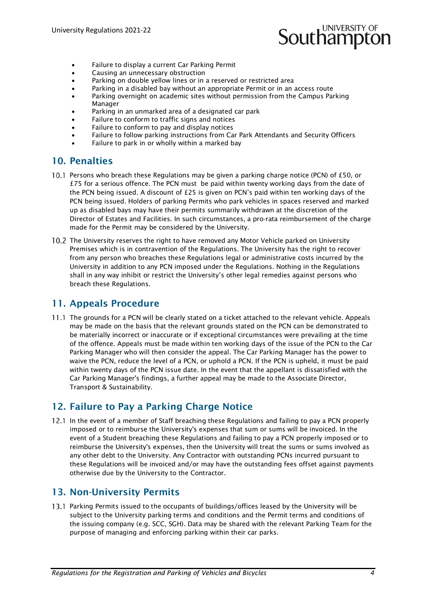# **Southampton**

- Failure to display a current Car Parking Permit
- Causing an unnecessary obstruction
- Parking on double yellow lines or in a reserved or restricted area
- Parking in a disabled bay without an appropriate Permit or in an access route
- Parking overnight on academic sites without permission from the Campus Parking Manager
- Parking in an unmarked area of a designated car park
- Failure to conform to traffic signs and notices
- Failure to conform to pay and display notices
- Failure to follow parking instructions from Car Park Attendants and Security Officers
- Failure to park in or wholly within a marked bay

#### 10. Penalties

- 10.1 Persons who breach these Regulations may be given a parking charge notice (PCN) of £50, or £75 for a serious offence. The PCN must be paid within twenty working days from the date of the PCN being issued. A discount of  $f25$  is given on PCN's paid within ten working days of the PCN being issued. Holders of parking Permits who park vehicles in spaces reserved and marked up as disabled bays may have their permits summarily withdrawn at the discretion of the Director of Estates and Facilities. In such circumstances, a pro-rata reimbursement of the charge made for the Permit may be considered by the University.
- 10.2 The University reserves the right to have removed any Motor Vehicle parked on University Premises which is in contravention of the Regulations. The University has the right to recover from any person who breaches these Regulations legal or administrative costs incurred by the University in addition to any PCN imposed under the Regulations. Nothing in the Regulations shall in any way inhibit or restrict the University's other legal remedies against persons who breach these Regulations.

#### 11. Appeals Procedure

11.1 The grounds for a PCN will be clearly stated on a ticket attached to the relevant vehicle. Appeals may be made on the basis that the relevant grounds stated on the PCN can be demonstrated to be materially incorrect or inaccurate or if exceptional circumstances were prevailing at the time of the offence. Appeals must be made within ten working days of the issue of the PCN to the Car Parking Manager who will then consider the appeal. The Car Parking Manager has the power to waive the PCN, reduce the level of a PCN, or uphold a PCN. If the PCN is upheld, it must be paid within twenty days of the PCN issue date. In the event that the appellant is dissatisfied with the Car Parking Manager's findings, a further appeal may be made to the Associate Director, Transport & Sustainability.

#### 12. Failure to Pay a Parking Charge Notice

12.1 In the event of a member of Staff breaching these Regulations and failing to pay a PCN properly imposed or to reimburse the University's expenses that sum or sums will be invoiced. In the event of a Student breaching these Regulations and failing to pay a PCN properly imposed or to reimburse the University's expenses, then the University will treat the sums or sums involved as any other debt to the University. Any Contractor with outstanding PCNs incurred pursuant to these Regulations will be invoiced and/or may have the outstanding fees offset against payments otherwise due by the University to the Contractor.

## 13. Non-University Permits

13.1 Parking Permits issued to the occupants of buildings/offices leased by the University will be subject to the University parking terms and conditions and the Permit terms and conditions of the issuing company (e.g. SCC, SGH). Data may be shared with the relevant Parking Team for the purpose of managing and enforcing parking within their car parks.